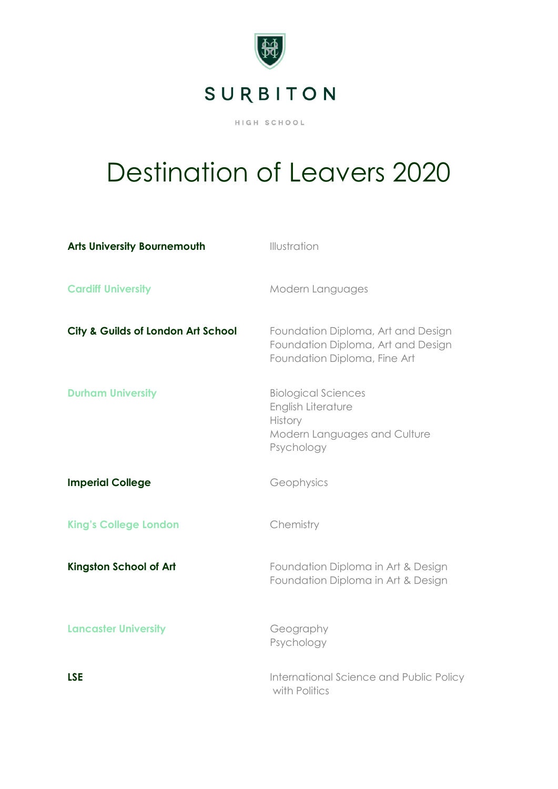

## Destination of Leavers 2020

| <b>Arts University Bournemouth</b> | Illustration                                                                                              |
|------------------------------------|-----------------------------------------------------------------------------------------------------------|
| <b>Cardiff University</b>          | Modern Languages                                                                                          |
| City & Guilds of London Art School | Foundation Diploma, Art and Design<br>Foundation Diploma, Art and Design<br>Foundation Diploma, Fine Art  |
| <b>Durham University</b>           | <b>Biological Sciences</b><br>English Literature<br>History<br>Modern Languages and Culture<br>Psychology |
| <b>Imperial College</b>            | Geophysics                                                                                                |
| <b>King's College London</b>       | Chemistry                                                                                                 |
| <b>Kingston School of Art</b>      | Foundation Diploma in Art & Design<br>Foundation Diploma in Art & Design                                  |
| <b>Lancaster University</b>        | Geography<br>Psychology                                                                                   |
| <b>LSE</b>                         | International Science and Public Policy<br>with Politics                                                  |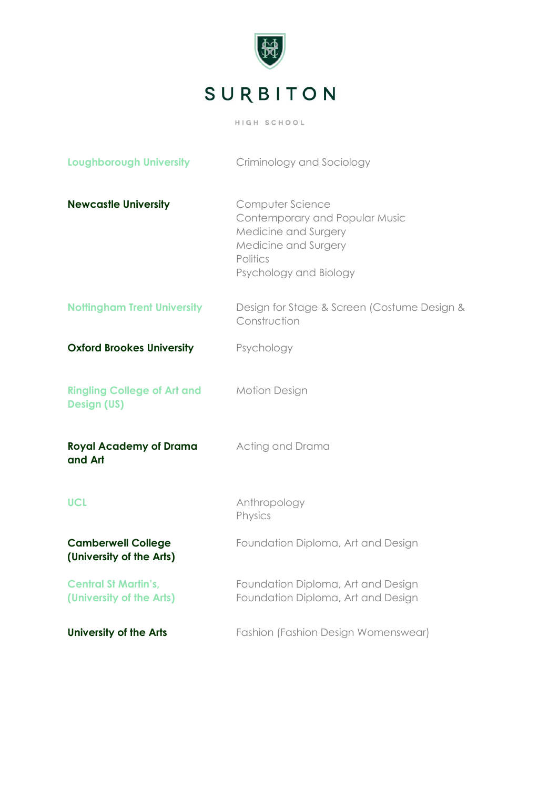

| <b>Loughborough University</b>                           | Criminology and Sociology                                                                                                                |
|----------------------------------------------------------|------------------------------------------------------------------------------------------------------------------------------------------|
| <b>Newcastle University</b>                              | Computer Science<br>Contemporary and Popular Music<br>Medicine and Surgery<br>Medicine and Surgery<br>Politics<br>Psychology and Biology |
| <b>Nottingham Trent University</b>                       | Design for Stage & Screen (Costume Design &<br>Construction                                                                              |
| <b>Oxford Brookes University</b>                         | Psychology                                                                                                                               |
| <b>Ringling College of Art and</b><br><b>Design (US)</b> | <b>Motion Design</b>                                                                                                                     |
| <b>Royal Academy of Drama</b><br>and Art                 | Acting and Drama                                                                                                                         |
| <b>UCL</b>                                               | Anthropology<br>Physics                                                                                                                  |
| <b>Camberwell College</b><br>(University of the Arts)    | Foundation Diploma, Art and Design                                                                                                       |
| <b>Central St Martin's,</b><br>(University of the Arts)  | Foundation Diploma, Art and Design<br>Foundation Diploma, Art and Design                                                                 |
| <b>University of the Arts</b>                            | <b>Fashion (Fashion Design Womenswear)</b>                                                                                               |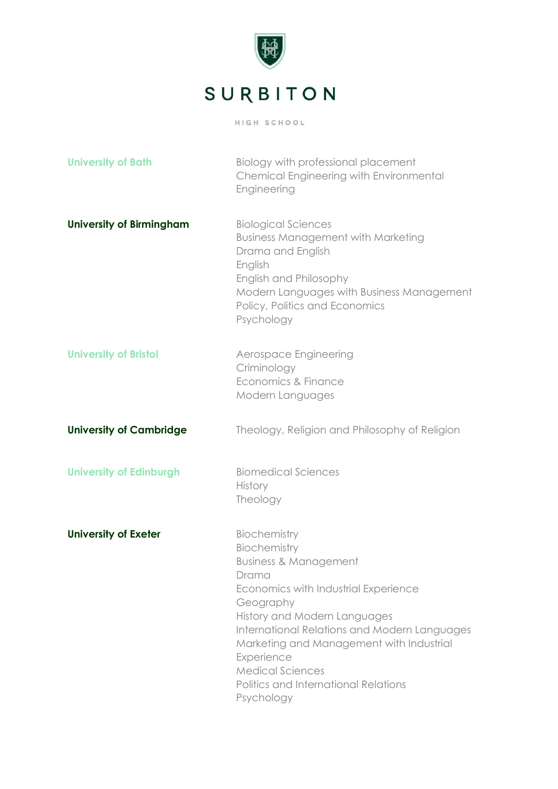

| <b>University of Bath</b>       | Biology with professional placement<br>Chemical Engineering with Environmental<br>Engineering                                                                                                                                                                                                                                                             |
|---------------------------------|-----------------------------------------------------------------------------------------------------------------------------------------------------------------------------------------------------------------------------------------------------------------------------------------------------------------------------------------------------------|
| <b>University of Birmingham</b> | <b>Biological Sciences</b><br><b>Business Management with Marketing</b><br>Drama and English<br>English<br>English and Philosophy<br>Modern Languages with Business Management<br>Policy, Politics and Economics<br>Psychology                                                                                                                            |
| <b>University of Bristol</b>    | Aerospace Engineering<br>Criminology<br>Economics & Finance<br>Modern Languages                                                                                                                                                                                                                                                                           |
| <b>University of Cambridge</b>  | Theology, Religion and Philosophy of Religion                                                                                                                                                                                                                                                                                                             |
| <b>University of Edinburgh</b>  | <b>Biomedical Sciences</b><br><b>History</b><br>Theology                                                                                                                                                                                                                                                                                                  |
| <b>University of Exeter</b>     | Biochemistry<br>Biochemistry<br><b>Business &amp; Management</b><br>Drama<br>Economics with Industrial Experience<br>Geography<br>History and Modern Languages<br>International Relations and Modern Languages<br>Marketing and Management with Industrial<br>Experience<br><b>Medical Sciences</b><br>Politics and International Relations<br>Psychology |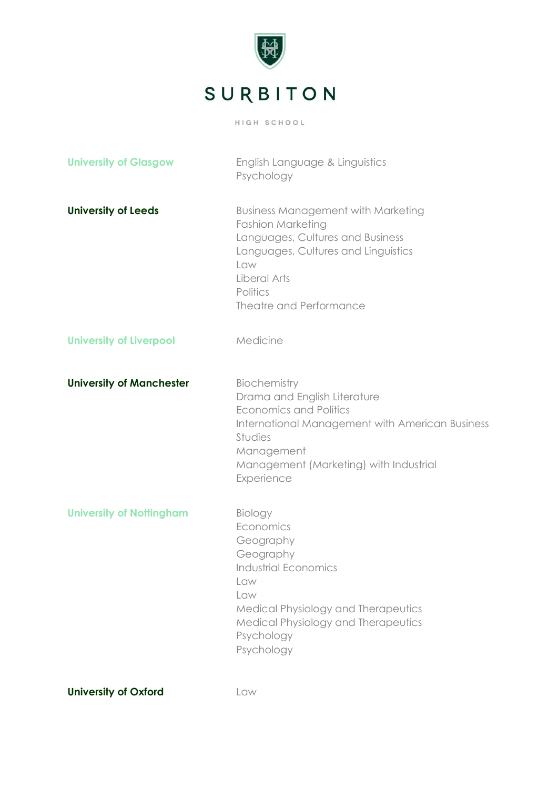

| <b>University of Glasgow</b>    | English Language & Linguistics<br>Psychology                                                                                                                                                                          |
|---------------------------------|-----------------------------------------------------------------------------------------------------------------------------------------------------------------------------------------------------------------------|
| <b>University of Leeds</b>      | <b>Business Management with Marketing</b><br><b>Fashion Marketing</b><br>Languages, Cultures and Business<br>Languages, Cultures and Linguistics<br>Law<br>Liberal Arts<br>Politics<br><b>Theatre and Performance</b> |
| <b>University of Liverpool</b>  | Medicine                                                                                                                                                                                                              |
| <b>University of Manchester</b> | Biochemistry<br>Drama and English Literature<br><b>Economics and Politics</b><br>International Management with American Business<br>Studies<br>Management<br>Management (Marketing) with Industrial<br>Experience     |
| <b>University of Nottingham</b> | Biology<br>Economics<br>Geography<br>Geography<br><b>Industrial Economics</b><br>Law<br>Law<br>Medical Physiology and Therapeutics<br>Medical Physiology and Therapeutics<br>Psychology<br>Psychology                 |

**University of Oxford CLANGE LANGE LANGE POWER AND LANGE POWER AND LANGE POWER AND ADDETERMIN**